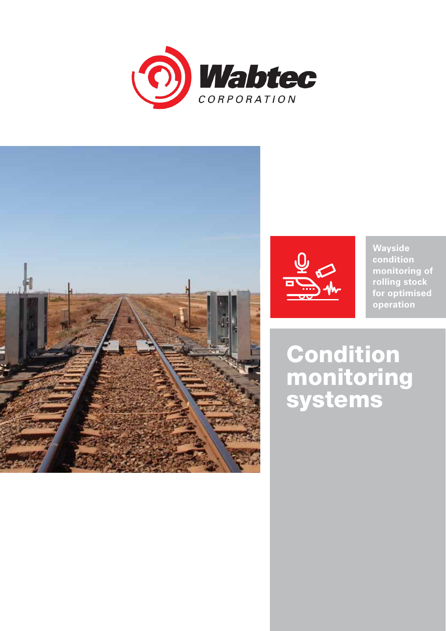





**Wayside condition monitoring of rolling stock for optimised operation**

Condition monitoring systems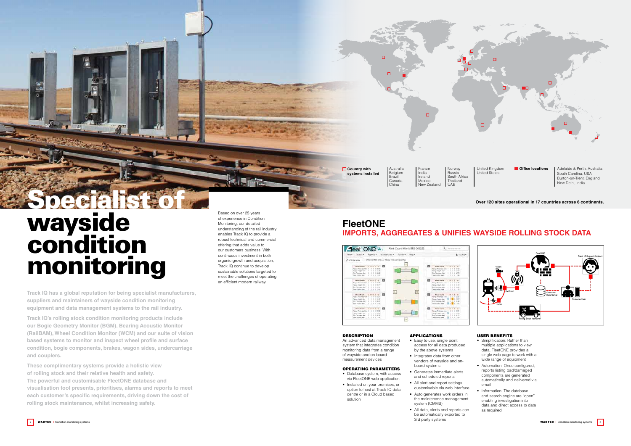## **Over 120 sites operational in 17 countries across 6 continents.**

Australia Belgium Brazil Canada China

 $\Box$ 

**Country with systems installed**

India

 $\Box$ 

France Ireland Mexico New Zealand Norway Russia South Africa Thailand UAE

United Kingdom United States

**Office locations** 

Adelaide & Perth, Australia South Carolina, USA Burton-on-Trent, England New Delhi, India

Based on over 25 years

of experience in Condition Monitoring, our detailed understanding of the rail industry enables Track IQ to provide a robust technical and commercial offering that adds value to our customers business. With continuous investment in both organic growth and acquisition, Track IQ continue to develop sustainable solutions targeted to meet the challenges of operating an efficient modern railway.

**Track IQ has a global reputation for being specialist manufacturers, suppliers and maintainers of wayside condition monitoring equipment and data management systems to the rail industry.** 

# **Specialist** wayside condition monitoring

- Database system, with access via FleetONE web application
- • Installed on your premises, or option to host at Track IQ data centre or in a Cloud based solution

#### **APPLICATIONS**

**Track IQ's rolling stock condition monitoring products include our Bogie Geometry Monitor (BGM), Bearing Acoustic Monitor (RailBAM), Wheel Condition Monitor (WCM) and our suite of vision based systems to monitor and inspect wheel profile and surface condition, bogie components, brakes, wagon sides, undercarriage and couplers.**

- Easy to use, single point access for all data produced by the above systems
- Integrates data from other vendors of wayside and onboard systems
- • Generates immediate alerts and scheduled reports
- • All alert and report settings customisable via web interface
- Auto generates work orders in the maintenance management system (CMMS)
- All data, alerts and reports can be automatically exported to 3rd party systems

C  $\overline{\circ}$ 



**These complimentary systems provide a holistic view of rolling stock and their relative health and safety. The powerful and customisable FleetONE database and visualisation tool presents, prioritises, alarms and reports to meet each customer's specific requirements, driving down the cost of rolling stock maintenance, whilst increasing safety.**

- Simplification: Rather than multiple applications to view data, FleetONE provides a single web page to work with a wide range of equipment
- Automation: Once configured, reports listing bad/damaged components are generated automatically and delivered via email
- Information: The database and search engine are "open" enabling investigation into data and direct access to data as required



# **FleetONE Imports, Aggregates & Unifies Wayside Rolling Stock Data**



## **DESCRIPTION**

An advanced data management system that integrates condition monitoring data from a range of wayside and on-board measurement devices

## Operating Parameters

## User Benefits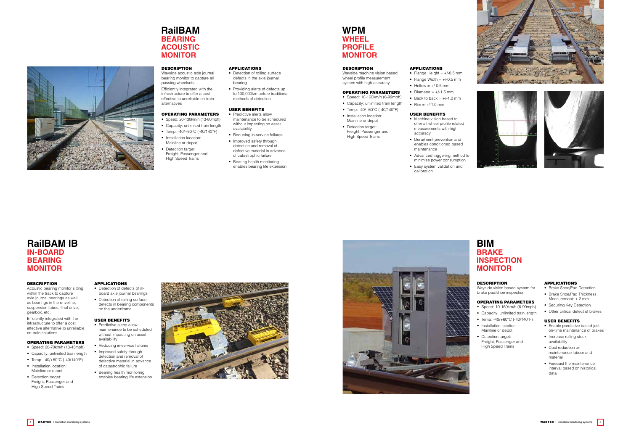## **WPM Wheel Profile Monitor**

#### **DESCRIPTION**

Wayside machine vision based wheel profile measurement system with high accuracy

## Operating Parameters

- Speed: 10-160km/h (6-99mph)
- • Capacity: unlimited train length
- Temp: -40/+60°C (-40/140°F)
- Installation location: Mainline or depot
- Detection target: Freight, Passenger and High Speed Trains

Wayside vision based system for brake pad/shoe inspection

## Operating Parameters

#### Operating Parameters • Speed: 20-130km/h (13-80mph)

- • Speed: 10-160km/h (6-99mph)
- • Capacity: unlimited train length
- Temp: -40/+60°C (-40/140°F)
- Installation location: Mainline or depot
- Detection target: Freight, Passenger and High Speed Trains
- Capacity: unlimited train length
- Temp: -40/+60°C (-40/140°F)
- Installation location: Mainline or depot
- Detection target: Freight, Passenger and High Speed Trains

• Detection of rolling surface defects in the axle journal bearing

# **BIM Brake Inspection Monitor**

## **DESCRIPTION**

• Providing alerts of defects up to 100,000km before traditional methods of detection

- Predictive alerts allow maintenance to be scheduled without impacting on asset availability
- Reducing in-service failures
- Improved safety through detection and removal of defective material in advance of catastrophic failure
- • Bearing health monitoring enables bearing life extension

Wayside acoustic axle journal bearing monitor to capture all passing wheelsets. Efficiently integrated with the infrastructure to offer a cost effective to unreliable on-train

alternatives

- - • Derailment prevention and
	- Advanced triggering method to
	- Easy system validation and







- Machine vision based to offer all wheel profile related measurements with high accuracy
- enables conditioned based maintenance
- minimise power consumption
- calibration

# **RailBAM Bearing Acoustic Monitor**

## **DESCRIPTION**

#### Applications

- Enable predictive based just on-time maintenance of brakes
- Increase rolling stock availability
- Cost reduction on maintenance labour and material
- • Forecast the maintenance interval based on historical data



## User Benefits

- Detection of defects of inboard axle journal bearings
- Detection of rolling surface defects in bearing components on the underframe

#### Applications

- Flange Height =  $+/-0.5$  mm • Flange Width  $= +/-0.5$  mm
- $\bullet$  Hollow =  $+/-0.5$  mm
- Diameter =  $+/-1.5$  mm
- Back to back  $= +/-1.0$  mm •  $\text{Rim} = +/-1.0 \text{ mm}$

- Predictive alerts allow maintenance to be scheduled without impacting on asset availability
- Reducing in-service failures
- Improved safety through detection and removal of defective material in advance of catastrophic failure
- Bearing health monitoring enables bearing life extension





#### User Benefits

## Applications

- • Brake Shoe/Pad Detection
- Brake Shoe/Pad Thickness Measurement: ± 2 mm
- Securing Key Detection
- • Other critical defect of brakes

#### User Benefits

# **RailBAM IB In-Board Bearing Monitor**

#### **DESCRIPTION**

Acoustic bearing monitor sitting within the track to capture axle journal bearings as well as bearings in the driveline, suspension tubes, final drive, gearbox, etc.

Efficiently integrated with the infrastructure to offer a cost effective alternative to unreliable on-train solutions.

## Operating Parameters

- Speed: 20-70km/h (13-45mph)
- Capacity: unlimited train length
- Temp: -40/+60°C (-40/140°F) • Installation location: Mainline or depot
- Detection target: Freight, Passenger and High Speed Trains

## Applications

#### User Benefits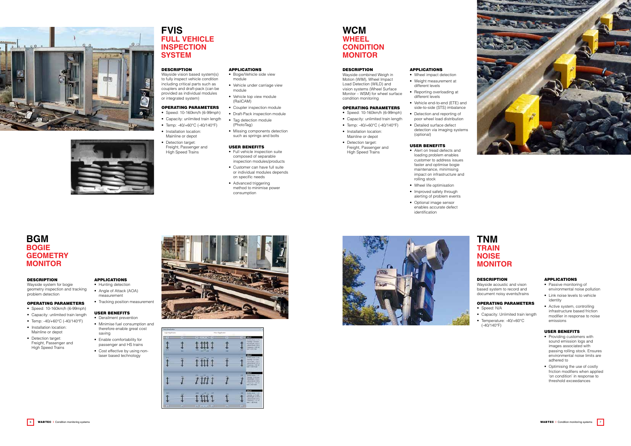Wayside acoustic and vison based system to record and document noisy events/trains

- Speed: N/A
- • Capacity: Unlimited train length
- Temperature: -40/+60°C (-40/140°F)

## Operating Parameters

# **TNM Train Noise Monitor**

## **DESCRIPTION**

# **BGM Bogie Geometry Monitor**

#### **DESCRIPTION**

Wayside system for bogie geometry inspection and tracking problem detection

## Operating Parameters

- Derailment prevention
- Minimise fuel consumption and therefore enable great cost saving
- • Enable comfortability for passenger and HS trains
- Cost effective by using nonlaser based technology







- • Speed: 10-160km/h (6-99mph)
- Capacity: unlimited train length
- Temp: -40/+60°C (-40/140°F)
- Installation location: Mainline or depot
- Detection target: Freight, Passenger and High Speed Trains

## Applications

- Hunting detection • Angle of Attack (AOA)
- measurement • Tracking position measurement
- 

**APPLICATIONS** • Bogie/Vehicle side view

## User Benefits

#### • Tag detection module (PhotoTag)



- User Benefits • Full vehicle inspection suite composed of separable
- Customer can have full suite
- Advanced triggering

• Vehicle top view module (RailCAM) • Coupler inspection module





# **FVIS Full Vehicle Inspection System**

## **DESCRIPTION**

- Passive monitoring of environmental noise pollution
- • Link noise levels to vehicle identity
- Active system, controlling infrastructure based friction modifier in response to noise emissions

Wayside vision based system(s) to fully inspect vehicle condition including critical parts such as couplers and draft-pack (can be provided as individual modules or integrated system)

#### Operating Parameters • Speed: 10-160km/h (6-99mph)

Wayside combined Weigh in Motion (WIM), Wheel Impact Load Detection (WILD) and vision systems (Wheel Surface Monitor – WSM) for wheel surface condition monitoring

#### Applications • Wheel impact detection

module

• Vehicle under carriage view

module

• Draft-Pack inspection module

• Missing components detection such as springs and bolts

- • Capacity: unlimited train length
- Temp: -40/+60°C (-40/140°F)
- Installation location: Mainline or depot
- Detection target: Freight, Passenger and High Speed Trains
- inspection modules/products
	- or individual modules depends on specific needs
	- method to minimise power consumption
- Alert on tread defects and loading problem enables customer to address issues faster and optimise bogie maintenance, minimising impact on infrastructure and rolling stock
- Wheel life optimisation
- Improved safety through alerting of problem events
- Optional image sensor enables accurate defect identification

#### Applications

## User Benefits

- • Providing customers with sound emission logs and images associated with passing rolling stock. Ensures environmental noise limits are adhered to
- Optimising the use of costly friction modifiers when applied 'on condition' in response to threshold exceedances



# **WCM Wheel CONDITION Monitor**

#### **DESCRIPTION**

## Operating Parameters

- • Speed: 10-160km/h (6-99mph)
- Capacity: unlimited train length
- Temp: -40/+60°C (-40/140°F) • Installation location:
- Mainline or depot • Detection target:
- Freight, Passenger and High Speed Trains
- • Weight measurement at different levels
- Reporting overloading at different levels
- Vehicle end-to-end (ETE) and side-to-side (STS) imbalance
- Detection and reporting of poor wheel load distribution
- • Detailed surface defect detection via imaging systems (optional)

### User Benefits